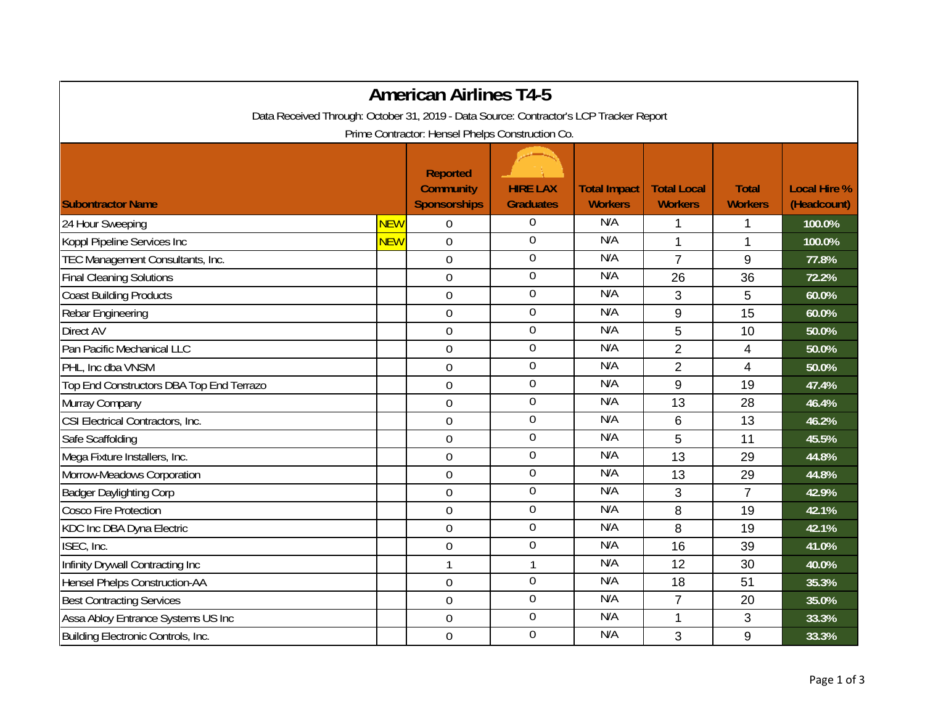| <b>American Airlines T4-5</b>                                                          |            |                                                            |                                     |                                       |                                      |                                |                                    |  |  |
|----------------------------------------------------------------------------------------|------------|------------------------------------------------------------|-------------------------------------|---------------------------------------|--------------------------------------|--------------------------------|------------------------------------|--|--|
| Data Received Through: October 31, 2019 - Data Source: Contractor's LCP Tracker Report |            |                                                            |                                     |                                       |                                      |                                |                                    |  |  |
| Prime Contractor: Hensel Phelps Construction Co.                                       |            |                                                            |                                     |                                       |                                      |                                |                                    |  |  |
| <b>Subontractor Name</b>                                                               |            | <b>Reported</b><br><b>Community</b><br><b>Sponsorships</b> | <b>HIRE LAX</b><br><b>Graduates</b> | <b>Total Impact</b><br><b>Workers</b> | <b>Total Local</b><br><b>Workers</b> | <b>Total</b><br><b>Workers</b> | <b>Local Hire %</b><br>(Headcount) |  |  |
| 24 Hour Sweeping                                                                       | <b>NEW</b> | $\mathbf 0$                                                | 0                                   | N/A                                   | 1                                    | 1                              | 100.0%                             |  |  |
| Koppl Pipeline Services Inc                                                            | <b>NEW</b> | $\mathbf 0$                                                | $\boldsymbol{0}$                    | N/A                                   | $\mathbf{1}$                         | 1                              | 100.0%                             |  |  |
| TEC Management Consultants, Inc.                                                       |            | $\overline{0}$                                             | $\boldsymbol{0}$                    | N/A                                   | $\overline{7}$                       | 9                              | 77.8%                              |  |  |
| <b>Final Cleaning Solutions</b>                                                        |            | $\boldsymbol{0}$                                           | $\overline{0}$                      | N/A                                   | 26                                   | 36                             | 72.2%                              |  |  |
| <b>Coast Building Products</b>                                                         |            | $\boldsymbol{0}$                                           | 0                                   | N/A                                   | 3                                    | 5                              | 60.0%                              |  |  |
| Rebar Engineering                                                                      |            | $\mathbf 0$                                                | $\boldsymbol{0}$                    | N/A                                   | 9                                    | 15                             | 60.0%                              |  |  |
| Direct AV                                                                              |            | $\mathbf 0$                                                | $\mathbf 0$                         | N/A                                   | 5                                    | 10                             | 50.0%                              |  |  |
| Pan Pacific Mechanical LLC                                                             |            | $\mathbf 0$                                                | $\overline{0}$                      | N/A                                   | 2                                    | 4                              | 50.0%                              |  |  |
| PHL, Inc dba VNSM                                                                      |            | $\mathbf 0$                                                | $\boldsymbol{0}$                    | N/A                                   | $\overline{2}$                       | 4                              | 50.0%                              |  |  |
| Top End Constructors DBA Top End Terrazo                                               |            | $\boldsymbol{0}$                                           | $\boldsymbol{0}$                    | N/A                                   | 9                                    | 19                             | 47.4%                              |  |  |
| Murray Company                                                                         |            | $\mathbf 0$                                                | $\boldsymbol{0}$                    | N/A                                   | 13                                   | 28                             | 46.4%                              |  |  |
| CSI Electrical Contractors, Inc.                                                       |            | $\mathbf 0$                                                | $\mathbf 0$                         | N/A                                   | 6                                    | 13                             | 46.2%                              |  |  |
| Safe Scaffolding                                                                       |            | $\mathbf 0$                                                | $\boldsymbol{0}$                    | N/A                                   | 5                                    | 11                             | 45.5%                              |  |  |
| Mega Fixture Installers, Inc.                                                          |            | $\mathbf 0$                                                | $\boldsymbol{0}$                    | N/A                                   | 13                                   | 29                             | 44.8%                              |  |  |
| Morrow-Meadows Corporation                                                             |            | $\mathbf 0$                                                | $\mathbf 0$                         | N/A                                   | 13                                   | 29                             | 44.8%                              |  |  |
| <b>Badger Daylighting Corp</b>                                                         |            | $\boldsymbol{0}$                                           | $\boldsymbol{0}$                    | N/A                                   | 3                                    | $\overline{7}$                 | 42.9%                              |  |  |
| <b>Cosco Fire Protection</b>                                                           |            | $\mathbf 0$                                                | $\boldsymbol{0}$                    | N/A                                   | 8                                    | 19                             | 42.1%                              |  |  |
| KDC Inc DBA Dyna Electric                                                              |            | $\overline{0}$                                             | $\mathbf 0$                         | N/A                                   | 8                                    | 19                             | 42.1%                              |  |  |
| ISEC, Inc.                                                                             |            | $\mathbf 0$                                                | $\overline{0}$                      | N/A                                   | 16                                   | 39                             | 41.0%                              |  |  |
| Infinity Drywall Contracting Inc                                                       |            | $\mathbf{1}$                                               | $\mathbf{1}$                        | N/A                                   | 12                                   | 30                             | 40.0%                              |  |  |
| Hensel Phelps Construction-AA                                                          |            | $\mathbf 0$                                                | $\boldsymbol{0}$                    | N/A                                   | 18                                   | 51                             | 35.3%                              |  |  |
| <b>Best Contracting Services</b>                                                       |            | $\mathbf 0$                                                | $\overline{0}$                      | N/A                                   | $\overline{7}$                       | 20                             | 35.0%                              |  |  |
| Assa Abloy Entrance Systems US Inc                                                     |            | $\boldsymbol{0}$                                           | $\overline{0}$                      | N/A                                   | $\mathbf{1}$                         | 3                              | 33.3%                              |  |  |
| Building Electronic Controls, Inc.                                                     |            | $\boldsymbol{0}$                                           | 0                                   | N/A                                   | 3                                    | 9                              | 33.3%                              |  |  |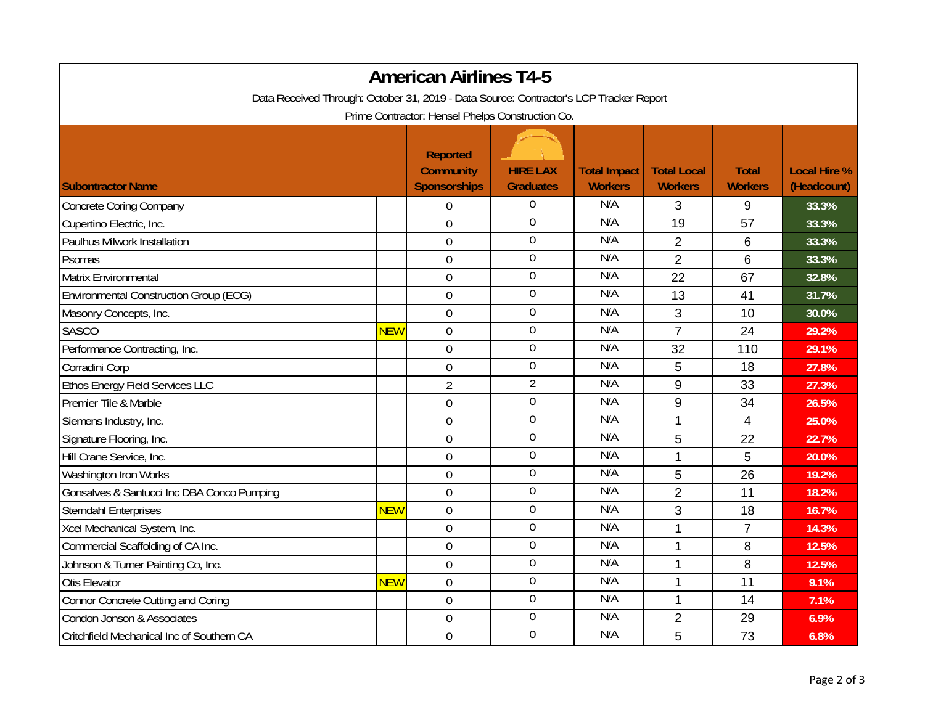| <b>American Airlines T4-5</b>                                                          |            |                                                     |                                     |                                       |                                      |                                |                                    |  |  |
|----------------------------------------------------------------------------------------|------------|-----------------------------------------------------|-------------------------------------|---------------------------------------|--------------------------------------|--------------------------------|------------------------------------|--|--|
| Data Received Through: October 31, 2019 - Data Source: Contractor's LCP Tracker Report |            |                                                     |                                     |                                       |                                      |                                |                                    |  |  |
| Prime Contractor: Hensel Phelps Construction Co.                                       |            |                                                     |                                     |                                       |                                      |                                |                                    |  |  |
| <b>Subontractor Name</b>                                                               |            | Reported<br><b>Community</b><br><b>Sponsorships</b> | <b>HIRE LAX</b><br><b>Graduates</b> | <b>Total Impact</b><br><b>Workers</b> | <b>Total Local</b><br><b>Workers</b> | <b>Total</b><br><b>Workers</b> | <b>Local Hire %</b><br>(Headcount) |  |  |
| <b>Concrete Coring Company</b>                                                         |            | $\mathbf 0$                                         | $\boldsymbol{0}$                    | N/A                                   | 3                                    | 9                              | 33.3%                              |  |  |
| Cupertino Electric, Inc.                                                               |            | $\Omega$                                            | $\overline{0}$                      | N/A                                   | 19                                   | 57                             | 33.3%                              |  |  |
| Paulhus Milwork Installation                                                           |            | $\mathbf 0$                                         | $\boldsymbol{0}$                    | N/A                                   | $\overline{2}$                       | 6                              | 33.3%                              |  |  |
| Psomas                                                                                 |            | $\mathbf 0$                                         | $\boldsymbol{0}$                    | N/A                                   | $\overline{2}$                       | 6                              | 33.3%                              |  |  |
| Matrix Environmental                                                                   |            | $\overline{0}$                                      | $\boldsymbol{0}$                    | N/A                                   | 22                                   | 67                             | 32.8%                              |  |  |
| <b>Environmental Construction Group (ECG)</b>                                          |            | 0                                                   | $\overline{0}$                      | N/A                                   | 13                                   | 41                             | 31.7%                              |  |  |
| Masonry Concepts, Inc.                                                                 |            | $\boldsymbol{0}$                                    | $\boldsymbol{0}$                    | N/A                                   | 3                                    | 10                             | 30.0%                              |  |  |
| <b>SASCO</b>                                                                           | <b>NEW</b> | $\overline{0}$                                      | $\boldsymbol{0}$                    | N/A                                   | $\overline{7}$                       | 24                             | 29.2%                              |  |  |
| Performance Contracting, Inc.                                                          |            | $\mathbf 0$                                         | $\mathbf 0$                         | N/A                                   | 32                                   | 110                            | 29.1%                              |  |  |
| Corradini Corp                                                                         |            | $\boldsymbol{0}$                                    | $\boldsymbol{0}$                    | N/A                                   | 5                                    | 18                             | 27.8%                              |  |  |
| Ethos Energy Field Services LLC                                                        |            | $\overline{2}$                                      | $\overline{2}$                      | N/A                                   | 9                                    | 33                             | 27.3%                              |  |  |
| Premier Tile & Marble                                                                  |            | $\mathbf 0$                                         | $\boldsymbol{0}$                    | N/A                                   | 9                                    | 34                             | 26.5%                              |  |  |
| Siemens Industry, Inc.                                                                 |            | $\overline{0}$                                      | $\overline{0}$                      | N/A                                   | 1                                    | $\overline{4}$                 | 25.0%                              |  |  |
| Signature Flooring, Inc.                                                               |            | $\boldsymbol{0}$                                    | $\boldsymbol{0}$                    | N/A                                   | 5                                    | 22                             | 22.7%                              |  |  |
| Hill Crane Service, Inc.                                                               |            | $\boldsymbol{0}$                                    | $\boldsymbol{0}$                    | N/A                                   | 1                                    | 5                              | 20.0%                              |  |  |
| Washington Iron Works                                                                  |            | $\overline{0}$                                      | $\mathbf 0$                         | N/A                                   | 5                                    | 26                             | 19.2%                              |  |  |
| Gonsalves & Santucci Inc DBA Conco Pumping                                             |            | $\mathbf 0$                                         | $\overline{0}$                      | N/A                                   | $\overline{2}$                       | 11                             | 18.2%                              |  |  |
| <b>Sterndahl Enterprises</b>                                                           | <b>NEW</b> | $\boldsymbol{0}$                                    | $\mathbf 0$                         | N/A                                   | 3                                    | 18                             | 16.7%                              |  |  |
| Xcel Mechanical System, Inc.                                                           |            | 0                                                   | $\mathbf 0$                         | N/A                                   | 1                                    | $\overline{7}$                 | 14.3%                              |  |  |
| Commercial Scaffolding of CA Inc.                                                      |            | $\mathbf 0$                                         | $\overline{0}$                      | N/A                                   | 1                                    | 8                              | 12.5%                              |  |  |
| Johnson & Turner Painting Co, Inc.                                                     |            | $\mathbf 0$                                         | $\overline{0}$                      | N/A                                   | 1                                    | 8                              | 12.5%                              |  |  |
| <b>Otis Elevator</b>                                                                   | <b>NEW</b> | $\mathbf 0$                                         | $\boldsymbol{0}$                    | N/A                                   | $\mathbf 1$                          | 11                             | 9.1%                               |  |  |
| <b>Connor Concrete Cutting and Coring</b>                                              |            | $\mathbf 0$                                         | $\boldsymbol{0}$                    | N/A                                   | $\mathbf 1$                          | 14                             | 7.1%                               |  |  |
| Condon Jonson & Associates                                                             |            | $\mathbf 0$                                         | $\overline{0}$                      | N/A                                   | $\overline{2}$                       | 29                             | 6.9%                               |  |  |
| Critchfield Mechanical Inc of Southern CA                                              |            | $\overline{0}$                                      | $\overline{0}$                      | N/A                                   | 5                                    | 73                             | 6.8%                               |  |  |